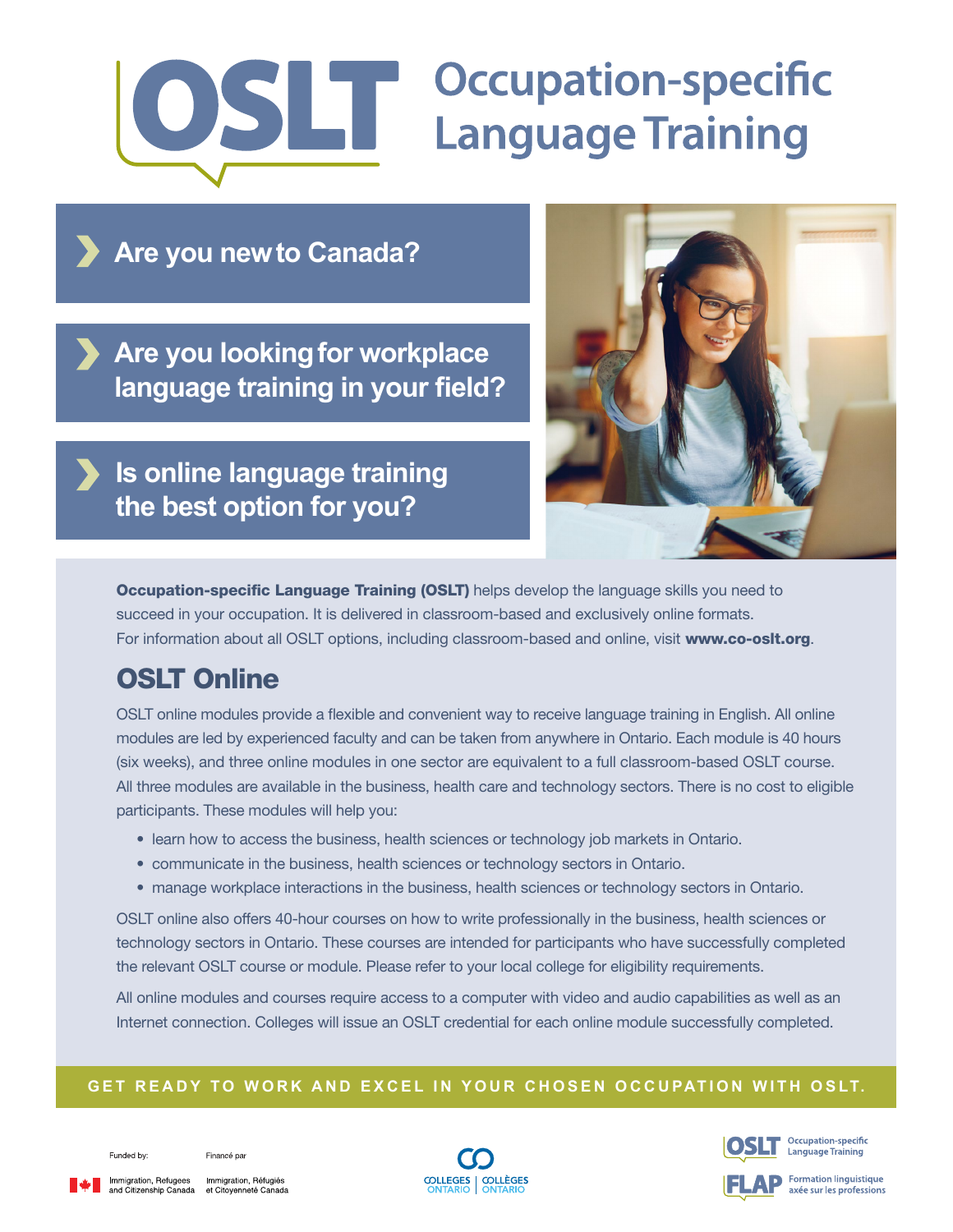# **OSLIT** Occupation-specifi **Occupation-specific**

**Are you new to Canada?**

**Are you looking for workplace language training in your field?**

**Is online language training the best option for you?**



**Occupation-specific Language Training (OSLT)** helps develop the language skills you need to succeed in your occupation. It is delivered in classroom-based and exclusively online formats. For information about all OSLT options, including classroom-based and online, visit [www.co-oslt.org](http://www.co-oslt.org).

## OSLT Online

OSLT online modules provide a flexible and convenient way to receive language training in English. All online modules are led by experienced faculty and can be taken from anywhere in Ontario. Each module is 40 hours (six weeks), and three online modules in one sector are equivalent to a full classroom-based OSLT course. All three modules are available in the business, health care and technology sectors. There is no cost to eligible participants. These modules will help you:

- learn how to access the business, health sciences or technology job markets in Ontario.
- communicate in the business, health sciences or technology sectors in Ontario.
- manage workplace interactions in the business, health sciences or technology sectors in Ontario.

OSLT online also offers 40-hour courses on how to write professionally in the business, health sciences or technology sectors in Ontario. These courses are intended for participants who have successfully completed the relevant OSLT course or module. Please refer to your local college for eligibility requirements.

All online modules and courses require access to a computer with video and audio capabilities as well as an Internet connection. Colleges will issue an OSLT credential for each online module successfully completed.

#### **GET READY TO WORK AND EXCEL IN YOUR CHOSEN OCCUPATION WITH OSLT.**

Funded by:

Financé par